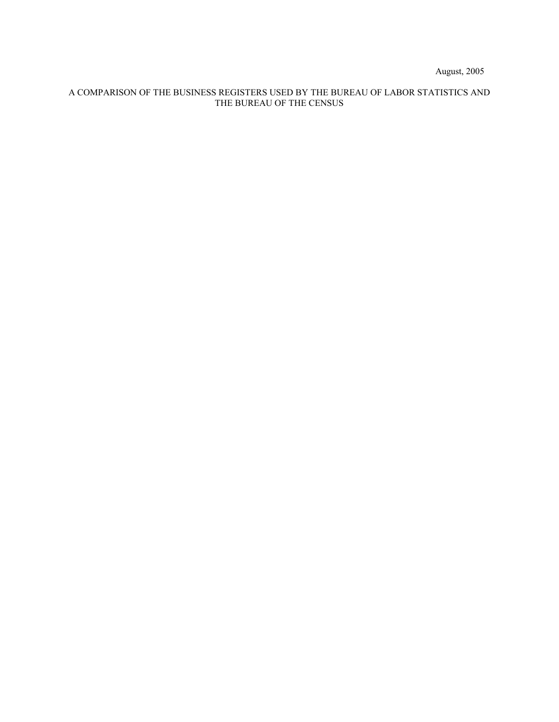August, 2005

# A COMPARISON OF THE BUSINESS REGISTERS USED BY THE BUREAU OF LABOR STATISTICS AND THE BUREAU OF THE CENSUS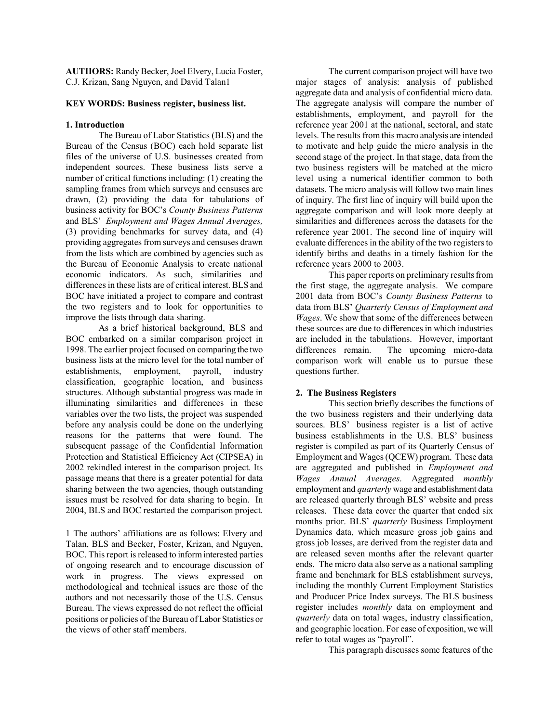**AUTHORS:** Randy Becker, Joel Elvery, Lucia Foster, C.J. Krizan, Sang Nguyen, and David Talan1

## **KEY WORDS: Business register, business list.**

# **1. Introduction**

The Bureau of Labor Statistics (BLS) and the Bureau of the Census (BOC) each hold separate list files of the universe of U.S. businesses created from independent sources. These business lists serve a number of critical functions including: (1) creating the sampling frames from which surveys and censuses are drawn, (2) providing the data for tabulations of business activity for BOC's *County Business Patterns* and BLS' *Employment and Wages Annual Averages,*  (3) providing benchmarks for survey data, and (4) providing aggregates from surveys and censuses drawn from the lists which are combined by agencies such as the Bureau of Economic Analysis to create national economic indicators. As such, similarities and differences in these lists are of critical interest. BLS and BOC have initiated a project to compare and contrast the two registers and to look for opportunities to improve the lists through data sharing.

As a brief historical background, BLS and BOC embarked on a similar comparison project in 1998. The earlier project focused on comparing the two business lists at the micro level for the total number of establishments, employment, payroll, industry classification, geographic location, and business structures. Although substantial progress was made in illuminating similarities and differences in these variables over the two lists, the project was suspended before any analysis could be done on the underlying reasons for the patterns that were found. The subsequent passage of the Confidential Information Protection and Statistical Efficiency Act (CIPSEA) in 2002 rekindled interest in the comparison project. Its passage means that there is a greater potential for data sharing between the two agencies, though outstanding issues must be resolved for data sharing to begin. In 2004, BLS and BOC restarted the comparison project.

1 The authors' affiliations are as follows: Elvery and Talan, BLS and Becker, Foster, Krizan, and Nguyen, BOC. This report is released to inform interested parties of ongoing research and to encourage discussion of work in progress. The views expressed on methodological and technical issues are those of the authors and not necessarily those of the U.S. Census Bureau. The views expressed do not reflect the official positions or policies of the Bureau of Labor Statistics or the views of other staff members.

The current comparison project will have two major stages of analysis: analysis of published aggregate data and analysis of confidential micro data. The aggregate analysis will compare the number of establishments, employment, and payroll for the reference year 2001 at the national, sectoral, and state levels. The results from this macro analysis are intended to motivate and help guide the micro analysis in the second stage of the project. In that stage, data from the two business registers will be matched at the micro level using a numerical identifier common to both datasets. The micro analysis will follow two main lines of inquiry. The first line of inquiry will build upon the aggregate comparison and will look more deeply at similarities and differences across the datasets for the reference year 2001. The second line of inquiry will evaluate differences in the ability of the two registers to identify births and deaths in a timely fashion for the reference years 2000 to 2003.

This paper reports on preliminary results from the first stage, the aggregate analysis. We compare 2001 data from BOC's *County Business Patterns* to data from BLS' *Quarterly Census of Employment and Wages*. We show that some of the differences between these sources are due to differences in which industries are included in the tabulations. However, important differences remain. The upcoming micro-data comparison work will enable us to pursue these questions further.

# **2. The Business Registers**

This section briefly describes the functions of the two business registers and their underlying data sources. BLS' business register is a list of active business establishments in the U.S. BLS' business register is compiled as part of its Quarterly Census of Employment and Wages (QCEW) program. These data are aggregated and published in *Employment and Wages Annual Averages*. Aggregated *monthly* employment and *quarterly* wage and establishment data are released quarterly through BLS' website and press releases. These data cover the quarter that ended six months prior. BLS' *quarterly* Business Employment Dynamics data, which measure gross job gains and gross job losses, are derived from the register data and are released seven months after the relevant quarter ends. The micro data also serve as a national sampling frame and benchmark for BLS establishment surveys, including the monthly Current Employment Statistics and Producer Price Index surveys. The BLS business register includes *monthly* data on employment and *quarterly* data on total wages, industry classification, and geographic location. For ease of exposition, we will refer to total wages as "payroll".

This paragraph discusses some features of the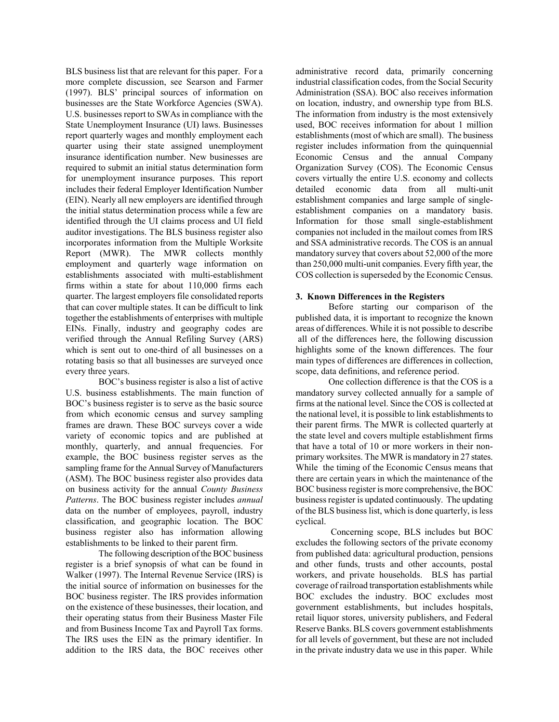BLS business list that are relevant for this paper. For a more complete discussion, see Searson and Farmer (1997). BLS' principal sources of information on businesses are the State Workforce Agencies (SWA). U.S. businesses report to SWAs in compliance with the State Unemployment Insurance (UI) laws. Businesses report quarterly wages and monthly employment each quarter using their state assigned unemployment insurance identification number. New businesses are required to submit an initial status determination form for unemployment insurance purposes. This report includes their federal Employer Identification Number (EIN). Nearly all new employers are identified through the initial status determination process while a few are identified through the UI claims process and UI field auditor investigations. The BLS business register also incorporates information from the Multiple Worksite Report (MWR). The MWR collects monthly employment and quarterly wage information on establishments associated with multi-establishment firms within a state for about 110,000 firms each quarter. The largest employers file consolidated reports that can cover multiple states. It can be difficult to link together the establishments of enterprises with multiple EINs. Finally, industry and geography codes are verified through the Annual Refiling Survey (ARS) which is sent out to one-third of all businesses on a rotating basis so that all businesses are surveyed once every three years.

BOC's business register is also a list of active U.S. business establishments. The main function of BOC's business register is to serve as the basic source from which economic census and survey sampling frames are drawn. These BOC surveys cover a wide variety of economic topics and are published at monthly, quarterly, and annual frequencies. For example, the BOC business register serves as the sampling frame for the Annual Survey of Manufacturers (ASM). The BOC business register also provides data on business activity for the annual *County Business Patterns*. The BOC business register includes *annual* data on the number of employees, payroll, industry classification, and geographic location. The BOC business register also has information allowing establishments to be linked to their parent firm.

The following description of the BOC business register is a brief synopsis of what can be found in Walker (1997). The Internal Revenue Service (IRS) is the initial source of information on businesses for the BOC business register. The IRS provides information on the existence of these businesses, their location, and their operating status from their Business Master File and from Business Income Tax and Payroll Tax forms. The IRS uses the EIN as the primary identifier. In addition to the IRS data, the BOC receives other

administrative record data, primarily concerning industrial classification codes, from the Social Security Administration (SSA). BOC also receives information on location, industry, and ownership type from BLS. The information from industry is the most extensively used, BOC receives information for about 1 million establishments (most of which are small). The business register includes information from the quinquennial Economic Census and the annual Company Organization Survey (COS). The Economic Census covers virtually the entire U.S. economy and collects detailed economic data from all multi-unit establishment companies and large sample of singleestablishment companies on a mandatory basis. Information for those small single-establishment companies not included in the mailout comes from IRS and SSA administrative records. The COS is an annual mandatory survey that covers about 52,000 of the more than 250,000 multi-unit companies. Every fifth year, the COS collection is superseded by the Economic Census.

# **3. Known Differences in the Registers**

Before starting our comparison of the published data, it is important to recognize the known areas of differences. While it is not possible to describe all of the differences here, the following discussion highlights some of the known differences. The four main types of differences are differences in collection, scope, data definitions, and reference period.

One collection difference is that the COS is a mandatory survey collected annually for a sample of firms at the national level. Since the COS is collected at the national level, it is possible to link establishments to their parent firms. The MWR is collected quarterly at the state level and covers multiple establishment firms that have a total of 10 or more workers in their nonprimary worksites. The MWR is mandatory in 27 states. While the timing of the Economic Census means that there are certain years in which the maintenance of the BOC business register is more comprehensive, the BOC business register is updated continuously. The updating of the BLS business list, which is done quarterly, is less cyclical.

 Concerning scope, BLS includes but BOC excludes the following sectors of the private economy from published data: agricultural production, pensions and other funds, trusts and other accounts, postal workers, and private households. BLS has partial coverage of railroad transportation establishments while BOC excludes the industry. BOC excludes most government establishments, but includes hospitals, retail liquor stores, university publishers, and Federal Reserve Banks. BLS covers government establishments for all levels of government, but these are not included in the private industry data we use in this paper. While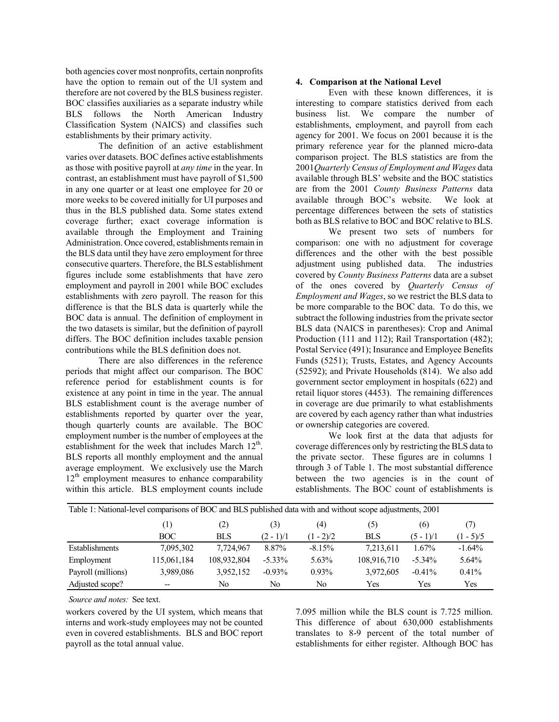both agencies cover most nonprofits, certain nonprofits have the option to remain out of the UI system and therefore are not covered by the BLS business register. BOC classifies auxiliaries as a separate industry while BLS follows the North American Industry Classification System (NAICS) and classifies such establishments by their primary activity.

The definition of an active establishment varies over datasets. BOC defines active establishments as those with positive payroll at *any time* in the year. In contrast, an establishment must have payroll of \$1,500 in any one quarter or at least one employee for 20 or more weeks to be covered initially for UI purposes and thus in the BLS published data. Some states extend coverage further; exact coverage information is available through the Employment and Training Administration. Once covered, establishments remain in the BLS data until they have zero employment for three consecutive quarters. Therefore, the BLS establishment figures include some establishments that have zero employment and payroll in 2001 while BOC excludes establishments with zero payroll. The reason for this difference is that the BLS data is quarterly while the BOC data is annual. The definition of employment in the two datasets is similar, but the definition of payroll differs. The BOC definition includes taxable pension contributions while the BLS definition does not.

There are also differences in the reference periods that might affect our comparison. The BOC reference period for establishment counts is for existence at any point in time in the year. The annual BLS establishment count is the average number of establishments reported by quarter over the year, though quarterly counts are available. The BOC employment number is the number of employees at the establishment for the week that includes March  $12<sup>th</sup>$ . BLS reports all monthly employment and the annual average employment. We exclusively use the March  $12<sup>th</sup>$  employment measures to enhance comparability within this article. BLS employment counts include

# **4. Comparison at the National Level**

Even with these known differences, it is interesting to compare statistics derived from each business list. We compare the number of establishments, employment, and payroll from each agency for 2001. We focus on 2001 because it is the primary reference year for the planned micro-data comparison project. The BLS statistics are from the 2001*Quarterly Census of Employment and Wages* data available through BLS' website and the BOC statistics are from the 2001 *County Business Patterns* data available through BOC's website. We look at percentage differences between the sets of statistics both as BLS relative to BOC and BOC relative to BLS.

We present two sets of numbers for comparison: one with no adjustment for coverage differences and the other with the best possible adjustment using published data. The industries covered by *County Business Patterns* data are a subset of the ones covered by *Quarterly Census of Employment and Wages*, so we restrict the BLS data to be more comparable to the BOC data. To do this, we subtract the following industries from the private sector BLS data (NAICS in parentheses): Crop and Animal Production (111 and 112); Rail Transportation (482); Postal Service (491); Insurance and Employee Benefits Funds (5251); Trusts, Estates, and Agency Accounts (52592); and Private Households (814). We also add government sector employment in hospitals (622) and retail liquor stores (4453). The remaining differences in coverage are due primarily to what establishments are covered by each agency rather than what industries or ownership categories are covered.

We look first at the data that adjusts for coverage differences only by restricting the BLS data to the private sector. These figures are in columns 1 through 3 of Table 1. The most substantial difference between the two agencies is in the count of establishments. The BOC count of establishments is

| Table 1: National-level comparisons of BOC and BLS published data with and without scope adjustments, 2001 |             |             |             |             |             |             |             |  |
|------------------------------------------------------------------------------------------------------------|-------------|-------------|-------------|-------------|-------------|-------------|-------------|--|
|                                                                                                            | (1)         | (2)         | (3)         | (4)         | (5)         | (6)         | (7)         |  |
|                                                                                                            | BOC.        | <b>BLS</b>  | $(2 - 1)/1$ | $(1 - 2)/2$ | <b>BLS</b>  | $(5 - 1)/1$ | $(1 - 5)/5$ |  |
| Establishments                                                                                             | 7,095,302   | 7,724,967   | 8.87%       | $-8.15%$    | 7,213,611   | 1.67%       | $-1.64%$    |  |
| Employment                                                                                                 | 115,061,184 | 108,932,804 | $-5.33\%$   | $5.63\%$    | 108,916,710 | $-5.34\%$   | 5.64%       |  |
| Payroll (millions)                                                                                         | 3,989,086   | 3,952,152   | $-0.93\%$   | $0.93\%$    | 3,972,605   | $-0.41%$    | 0.41%       |  |
| Adjusted scope?                                                                                            | $- -$       | No.         | No          | No          | Yes         | Yes         | Yes         |  |

*Source and notes:* See text.

workers covered by the UI system, which means that interns and work-study employees may not be counted even in covered establishments. BLS and BOC report payroll as the total annual value.

7.095 million while the BLS count is 7.725 million. This difference of about 630,000 establishments translates to 8-9 percent of the total number of establishments for either register. Although BOC has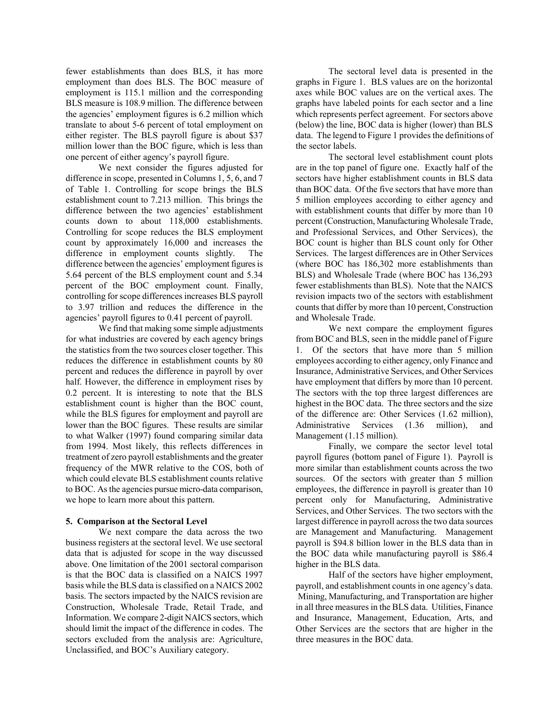fewer establishments than does BLS, it has more employment than does BLS. The BOC measure of employment is 115.1 million and the corresponding BLS measure is 108.9 million. The difference between the agencies' employment figures is 6.2 million which translate to about 5-6 percent of total employment on either register. The BLS payroll figure is about \$37 million lower than the BOC figure, which is less than one percent of either agency's payroll figure.

We next consider the figures adjusted for difference in scope, presented in Columns 1, 5, 6, and 7 of Table 1. Controlling for scope brings the BLS establishment count to 7.213 million. This brings the difference between the two agencies' establishment counts down to about 118,000 establishments. Controlling for scope reduces the BLS employment count by approximately 16,000 and increases the difference in employment counts slightly. The difference between the agencies' employment figures is 5.64 percent of the BLS employment count and 5.34 percent of the BOC employment count. Finally, controlling for scope differences increases BLS payroll to 3.97 trillion and reduces the difference in the agencies' payroll figures to 0.41 percent of payroll.

We find that making some simple adjustments for what industries are covered by each agency brings the statistics from the two sources closer together. This reduces the difference in establishment counts by 80 percent and reduces the difference in payroll by over half. However, the difference in employment rises by 0.2 percent. It is interesting to note that the BLS establishment count is higher than the BOC count, while the BLS figures for employment and payroll are lower than the BOC figures. These results are similar to what Walker (1997) found comparing similar data from 1994. Most likely, this reflects differences in treatment of zero payroll establishments and the greater frequency of the MWR relative to the COS, both of which could elevate BLS establishment counts relative to BOC. As the agencies pursue micro-data comparison, we hope to learn more about this pattern.

## **5. Comparison at the Sectoral Level**

 We next compare the data across the two business registers at the sectoral level. We use sectoral data that is adjusted for scope in the way discussed above. One limitation of the 2001 sectoral comparison is that the BOC data is classified on a NAICS 1997 basis while the BLS data is classified on a NAICS 2002 basis. The sectors impacted by the NAICS revision are Construction, Wholesale Trade, Retail Trade, and Information. We compare 2-digit NAICS sectors, which should limit the impact of the difference in codes. The sectors excluded from the analysis are: Agriculture, Unclassified, and BOC's Auxiliary category.

 The sectoral level data is presented in the graphs in Figure 1. BLS values are on the horizontal axes while BOC values are on the vertical axes. The graphs have labeled points for each sector and a line which represents perfect agreement. For sectors above (below) the line, BOC data is higher (lower) than BLS data. The legend to Figure 1 provides the definitions of the sector labels.

 The sectoral level establishment count plots are in the top panel of figure one. Exactly half of the sectors have higher establishment counts in BLS data than BOC data. Of the five sectors that have more than 5 million employees according to either agency and with establishment counts that differ by more than 10 percent (Construction, Manufacturing Wholesale Trade, and Professional Services, and Other Services), the BOC count is higher than BLS count only for Other Services. The largest differences are in Other Services (where BOC has 186,302 more establishments than BLS) and Wholesale Trade (where BOC has 136,293 fewer establishments than BLS). Note that the NAICS revision impacts two of the sectors with establishment counts that differ by more than 10 percent, Construction and Wholesale Trade.

 We next compare the employment figures from BOC and BLS, seen in the middle panel of Figure 1. Of the sectors that have more than 5 million employees according to either agency, only Finance and Insurance, Administrative Services, and Other Services have employment that differs by more than 10 percent. The sectors with the top three largest differences are highest in the BOC data. The three sectors and the size of the difference are: Other Services (1.62 million), Administrative Services (1.36 million), and Management (1.15 million).

 Finally, we compare the sector level total payroll figures (bottom panel of Figure 1). Payroll is more similar than establishment counts across the two sources. Of the sectors with greater than 5 million employees, the difference in payroll is greater than 10 percent only for Manufacturing, Administrative Services, and Other Services. The two sectors with the largest difference in payroll across the two data sources are Management and Manufacturing. Management payroll is \$94.8 billion lower in the BLS data than in the BOC data while manufacturing payroll is \$86.4 higher in the BLS data.

 Half of the sectors have higher employment, payroll, and establishment counts in one agency's data. Mining, Manufacturing, and Transportation are higher in all three measures in the BLS data. Utilities, Finance and Insurance, Management, Education, Arts, and Other Services are the sectors that are higher in the three measures in the BOC data.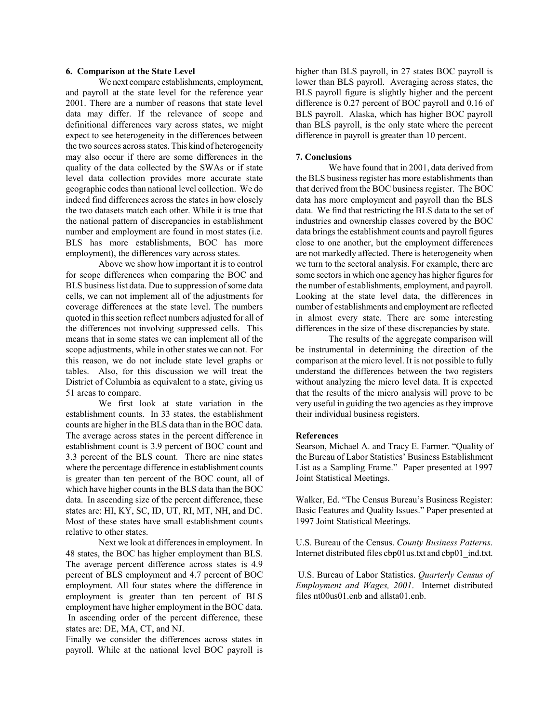#### **6. Comparison at the State Level**

We next compare establishments, employment, and payroll at the state level for the reference year 2001. There are a number of reasons that state level data may differ. If the relevance of scope and definitional differences vary across states, we might expect to see heterogeneity in the differences between the two sources across states. This kind of heterogeneity may also occur if there are some differences in the quality of the data collected by the SWAs or if state level data collection provides more accurate state geographic codes than national level collection. We do indeed find differences across the states in how closely the two datasets match each other. While it is true that the national pattern of discrepancies in establishment number and employment are found in most states (i.e. BLS has more establishments, BOC has more employment), the differences vary across states.

Above we show how important it is to control for scope differences when comparing the BOC and BLS business list data. Due to suppression of some data cells, we can not implement all of the adjustments for coverage differences at the state level. The numbers quoted in this section reflect numbers adjusted for all of the differences not involving suppressed cells. This means that in some states we can implement all of the scope adjustments, while in other states we can not. For this reason, we do not include state level graphs or tables. Also, for this discussion we will treat the District of Columbia as equivalent to a state, giving us 51 areas to compare.

We first look at state variation in the establishment counts. In 33 states, the establishment counts are higher in the BLS data than in the BOC data. The average across states in the percent difference in establishment count is 3.9 percent of BOC count and 3.3 percent of the BLS count. There are nine states where the percentage difference in establishment counts is greater than ten percent of the BOC count, all of which have higher counts in the BLS data than the BOC data. In ascending size of the percent difference, these states are: HI, KY, SC, ID, UT, RI, MT, NH, and DC. Most of these states have small establishment counts relative to other states.

Next we look at differences in employment. In 48 states, the BOC has higher employment than BLS. The average percent difference across states is 4.9 percent of BLS employment and 4.7 percent of BOC employment. All four states where the difference in employment is greater than ten percent of BLS employment have higher employment in the BOC data. In ascending order of the percent difference, these states are: DE, MA, CT, and NJ.

Finally we consider the differences across states in payroll. While at the national level BOC payroll is

higher than BLS payroll, in 27 states BOC payroll is lower than BLS payroll. Averaging across states, the BLS payroll figure is slightly higher and the percent difference is 0.27 percent of BOC payroll and 0.16 of BLS payroll. Alaska, which has higher BOC payroll than BLS payroll, is the only state where the percent difference in payroll is greater than 10 percent.

#### **7. Conclusions**

We have found that in 2001, data derived from the BLS business register has more establishments than that derived from the BOC business register. The BOC data has more employment and payroll than the BLS data. We find that restricting the BLS data to the set of industries and ownership classes covered by the BOC data brings the establishment counts and payroll figures close to one another, but the employment differences are not markedly affected. There is heterogeneity when we turn to the sectoral analysis. For example, there are some sectors in which one agency has higher figures for the number of establishments, employment, and payroll. Looking at the state level data, the differences in number of establishments and employment are reflected in almost every state. There are some interesting differences in the size of these discrepancies by state.

The results of the aggregate comparison will be instrumental in determining the direction of the comparison at the micro level. It is not possible to fully understand the differences between the two registers without analyzing the micro level data. It is expected that the results of the micro analysis will prove to be very useful in guiding the two agencies as they improve their individual business registers.

### **References**

Searson, Michael A. and Tracy E. Farmer. "Quality of the Bureau of Labor Statistics' Business Establishment List as a Sampling Frame." Paper presented at 1997 Joint Statistical Meetings.

Walker, Ed. "The Census Bureau's Business Register: Basic Features and Quality Issues." Paper presented at 1997 Joint Statistical Meetings.

U.S. Bureau of the Census. *County Business Patterns*. Internet distributed files cbp01us.txt and cbp01 ind.txt.

 U.S. Bureau of Labor Statistics. *Quarterly Census of Employment and Wages, 2001*. Internet distributed files nt00us01.enb and allsta01.enb.